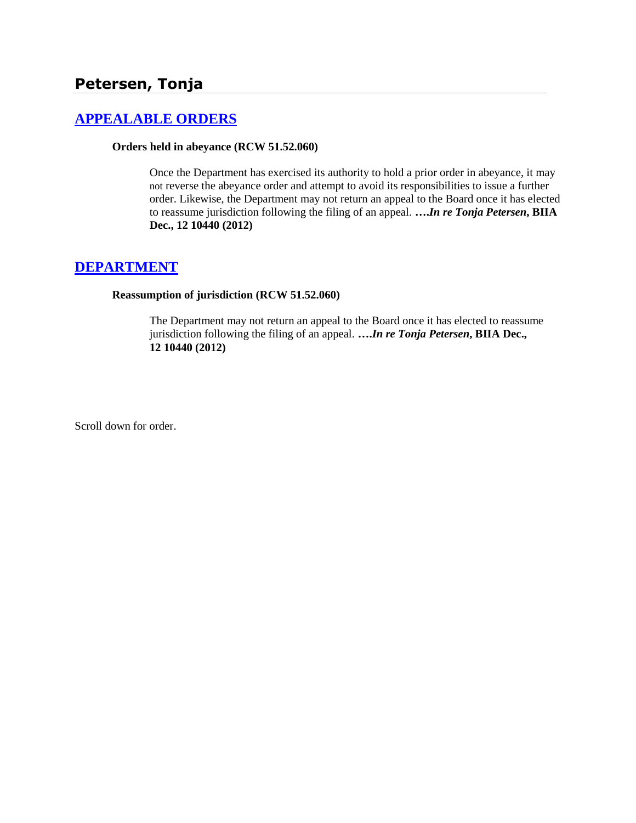# **[APPEALABLE ORDERS](http://www.biia.wa.gov/SDSubjectIndex.html#APPEALABLE_ORDERS)**

### **Orders held in abeyance (RCW 51.52.060)**

Once the Department has exercised its authority to hold a prior order in abeyance, it may not reverse the abeyance order and attempt to avoid its responsibilities to issue a further order. Likewise, the Department may not return an appeal to the Board once it has elected to reassume jurisdiction following the filing of an appeal. **….***In re Tonja Petersen***, BIIA Dec., 12 10440 (2012)**

## **[DEPARTMENT](http://www.biia.wa.gov/SDSubjectIndex.html#DEPARTMENT)**

#### **Reassumption of jurisdiction (RCW 51.52.060)**

The Department may not return an appeal to the Board once it has elected to reassume jurisdiction following the filing of an appeal. **….***In re Tonja Petersen***, BIIA Dec., 12 10440 (2012)**

Scroll down for order.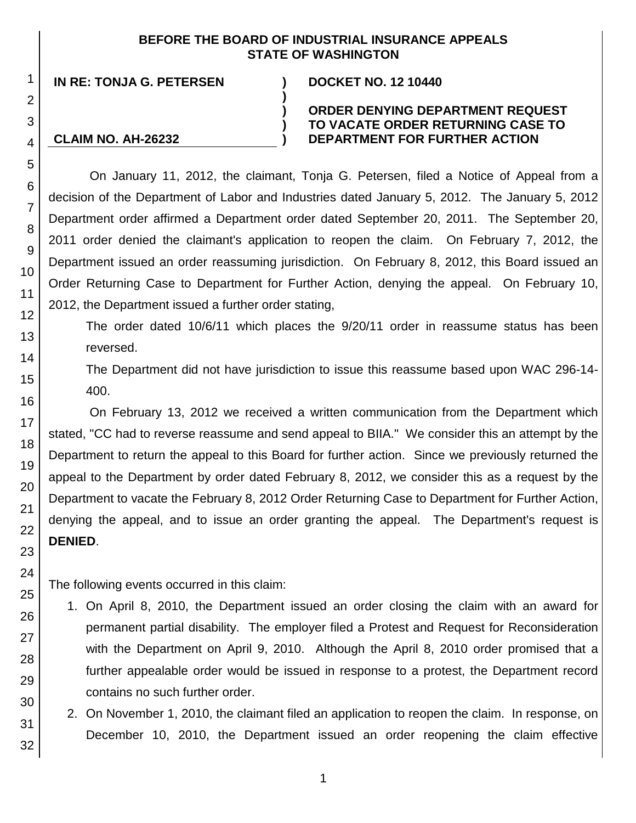## **BEFORE THE BOARD OF INDUSTRIAL INSURANCE APPEALS STATE OF WASHINGTON**

**)**

**) ) )**

**IN RE: TONJA G. PETERSEN ) DOCKET NO. 12 10440**

**CLAIM NO. AH-26232**

## **ORDER DENYING DEPARTMENT REQUEST TO VACATE ORDER RETURNING CASE TO DEPARTMENT FOR FURTHER ACTION**

On January 11, 2012, the claimant, Tonja G. Petersen, filed a Notice of Appeal from a decision of the Department of Labor and Industries dated January 5, 2012. The January 5, 2012 Department order affirmed a Department order dated September 20, 2011. The September 20, 2011 order denied the claimant's application to reopen the claim. On February 7, 2012, the Department issued an order reassuming jurisdiction. On February 8, 2012, this Board issued an Order Returning Case to Department for Further Action, denying the appeal. On February 10, 2012, the Department issued a further order stating,

The order dated 10/6/11 which places the 9/20/11 order in reassume status has been reversed.

The Department did not have jurisdiction to issue this reassume based upon WAC 296-14- 400.

On February 13, 2012 we received a written communication from the Department which stated, "CC had to reverse reassume and send appeal to BIIA." We consider this an attempt by the Department to return the appeal to this Board for further action. Since we previously returned the appeal to the Department by order dated February 8, 2012, we consider this as a request by the Department to vacate the February 8, 2012 Order Returning Case to Department for Further Action, denying the appeal, and to issue an order granting the appeal. The Department's request is **DENIED**.

The following events occurred in this claim:

- 1. On April 8, 2010, the Department issued an order closing the claim with an award for permanent partial disability. The employer filed a Protest and Request for Reconsideration with the Department on April 9, 2010. Although the April 8, 2010 order promised that a further appealable order would be issued in response to a protest, the Department record contains no such further order.
- 2. On November 1, 2010, the claimant filed an application to reopen the claim. In response, on December 10, 2010, the Department issued an order reopening the claim effective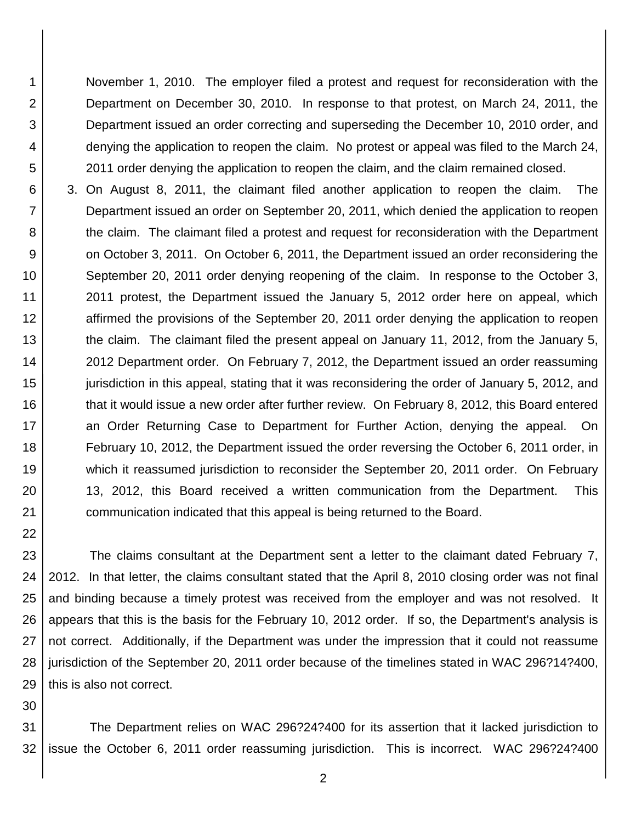November 1, 2010. The employer filed a protest and request for reconsideration with the Department on December 30, 2010. In response to that protest, on March 24, 2011, the Department issued an order correcting and superseding the December 10, 2010 order, and denying the application to reopen the claim. No protest or appeal was filed to the March 24, 2011 order denying the application to reopen the claim, and the claim remained closed.

6 7 8 9 10 11 12 13 14 15 16 17 18 19 20 21 3. On August 8, 2011, the claimant filed another application to reopen the claim. The Department issued an order on September 20, 2011, which denied the application to reopen the claim. The claimant filed a protest and request for reconsideration with the Department on October 3, 2011. On October 6, 2011, the Department issued an order reconsidering the September 20, 2011 order denying reopening of the claim. In response to the October 3, 2011 protest, the Department issued the January 5, 2012 order here on appeal, which affirmed the provisions of the September 20, 2011 order denying the application to reopen the claim. The claimant filed the present appeal on January 11, 2012, from the January 5, 2012 Department order. On February 7, 2012, the Department issued an order reassuming jurisdiction in this appeal, stating that it was reconsidering the order of January 5, 2012, and that it would issue a new order after further review. On February 8, 2012, this Board entered an Order Returning Case to Department for Further Action, denying the appeal. On February 10, 2012, the Department issued the order reversing the October 6, 2011 order, in which it reassumed jurisdiction to reconsider the September 20, 2011 order. On February 13, 2012, this Board received a written communication from the Department. This communication indicated that this appeal is being returned to the Board.

23 24 25 26 27 28 29 The claims consultant at the Department sent a letter to the claimant dated February 7, 2012. In that letter, the claims consultant stated that the April 8, 2010 closing order was not final and binding because a timely protest was received from the employer and was not resolved. It appears that this is the basis for the February 10, 2012 order. If so, the Department's analysis is not correct. Additionally, if the Department was under the impression that it could not reassume jurisdiction of the September 20, 2011 order because of the timelines stated in WAC 296?14?400, this is also not correct.

30

22

1

2

3

4 5

31 32 The Department relies on WAC 296?24?400 for its assertion that it lacked jurisdiction to issue the October 6, 2011 order reassuming jurisdiction. This is incorrect. WAC 296?24?400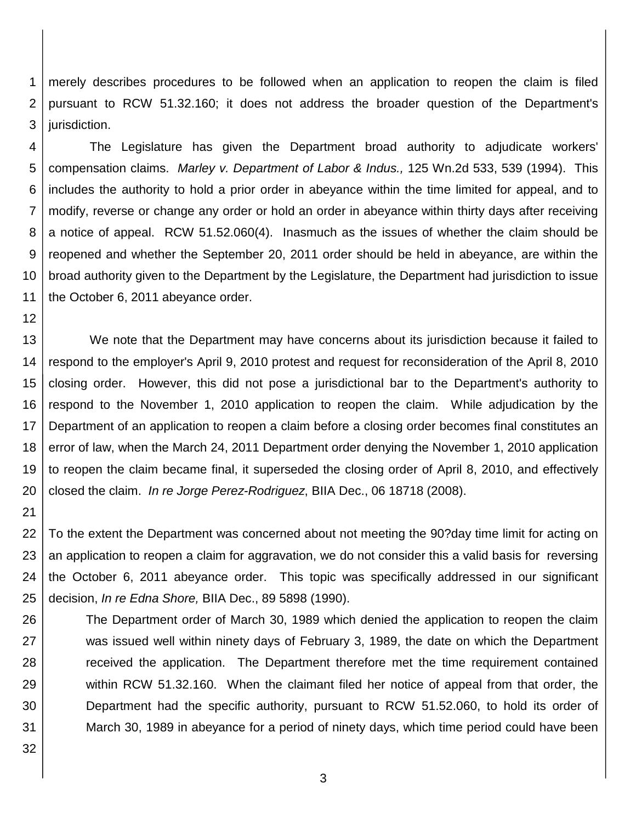1 2 3 merely describes procedures to be followed when an application to reopen the claim is filed pursuant to RCW 51.32.160; it does not address the broader question of the Department's jurisdiction.

4 5 6 7 8 9 10 11 The Legislature has given the Department broad authority to adjudicate workers' compensation claims. *Marley v. Department of Labor & Indus.,* 125 Wn.2d 533, 539 (1994). This includes the authority to hold a prior order in abeyance within the time limited for appeal, and to modify, reverse or change any order or hold an order in abeyance within thirty days after receiving a notice of appeal. RCW 51.52.060(4). Inasmuch as the issues of whether the claim should be reopened and whether the September 20, 2011 order should be held in abeyance, are within the broad authority given to the Department by the Legislature, the Department had jurisdiction to issue the October 6, 2011 abeyance order.

13 14 15 16 17 18 19 20 We note that the Department may have concerns about its jurisdiction because it failed to respond to the employer's April 9, 2010 protest and request for reconsideration of the April 8, 2010 closing order. However, this did not pose a jurisdictional bar to the Department's authority to respond to the November 1, 2010 application to reopen the claim. While adjudication by the Department of an application to reopen a claim before a closing order becomes final constitutes an error of law, when the March 24, 2011 Department order denying the November 1, 2010 application to reopen the claim became final, it superseded the closing order of April 8, 2010, and effectively closed the claim. *In re Jorge Perez-Rodriguez*, BIIA Dec., 06 18718 (2008).

12

21

32

22 23 24 25 To the extent the Department was concerned about not meeting the 90?day time limit for acting on an application to reopen a claim for aggravation, we do not consider this a valid basis for reversing the October 6, 2011 abeyance order. This topic was specifically addressed in our significant decision, *In re Edna Shore,* BIIA Dec., 89 5898 (1990).

26 27 28 29 30 31 The Department order of March 30, 1989 which denied the application to reopen the claim was issued well within ninety days of February 3, 1989, the date on which the Department received the application. The Department therefore met the time requirement contained within RCW 51.32.160. When the claimant filed her notice of appeal from that order, the Department had the specific authority, pursuant to RCW 51.52.060, to hold its order of March 30, 1989 in abeyance for a period of ninety days, which time period could have been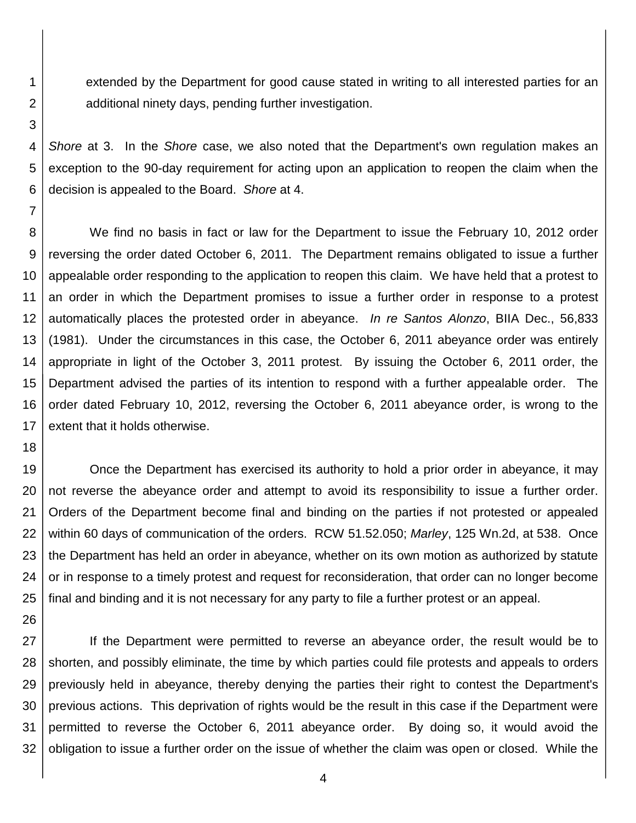extended by the Department for good cause stated in writing to all interested parties for an additional ninety days, pending further investigation.

*Shore* at 3. In the *Shore* case, we also noted that the Department's own regulation makes an exception to the 90-day requirement for acting upon an application to reopen the claim when the decision is appealed to the Board. *Shore* at 4.

8 9 10 12 13 14 15 16 17 We find no basis in fact or law for the Department to issue the February 10, 2012 order reversing the order dated October 6, 2011. The Department remains obligated to issue a further appealable order responding to the application to reopen this claim. We have held that a protest to an order in which the Department promises to issue a further order in response to a protest automatically places the protested order in abeyance. *In re Santos Alonzo*, BIIA Dec., 56,833 (1981). Under the circumstances in this case, the October 6, 2011 abeyance order was entirely appropriate in light of the October 3, 2011 protest. By issuing the October 6, 2011 order, the Department advised the parties of its intention to respond with a further appealable order. The order dated February 10, 2012, reversing the October 6, 2011 abeyance order, is wrong to the extent that it holds otherwise.

19 20 21 22 23 24 25 Once the Department has exercised its authority to hold a prior order in abeyance, it may not reverse the abeyance order and attempt to avoid its responsibility to issue a further order. Orders of the Department become final and binding on the parties if not protested or appealed within 60 days of communication of the orders. RCW 51.52.050; *Marley*, 125 Wn.2d, at 538. Once the Department has held an order in abeyance, whether on its own motion as authorized by statute or in response to a timely protest and request for reconsideration, that order can no longer become final and binding and it is not necessary for any party to file a further protest or an appeal.

27 28 29 30 31 32 If the Department were permitted to reverse an abeyance order, the result would be to shorten, and possibly eliminate, the time by which parties could file protests and appeals to orders previously held in abeyance, thereby denying the parties their right to contest the Department's previous actions. This deprivation of rights would be the result in this case if the Department were permitted to reverse the October 6, 2011 abeyance order. By doing so, it would avoid the obligation to issue a further order on the issue of whether the claim was open or closed. While the

4

18

26